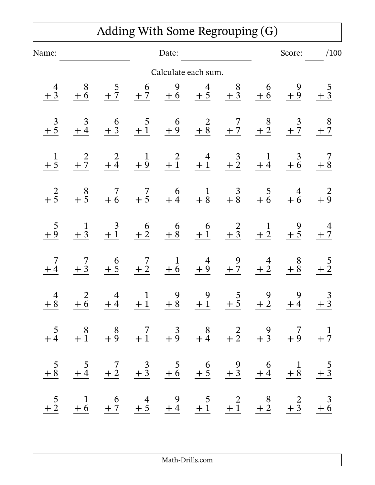|                |                                                                                                                                                       |                |       |                             | Adding With Some Regrouping (G)                                                                                         |                |        |                                          |              |
|----------------|-------------------------------------------------------------------------------------------------------------------------------------------------------|----------------|-------|-----------------------------|-------------------------------------------------------------------------------------------------------------------------|----------------|--------|------------------------------------------|--------------|
| Name:          |                                                                                                                                                       |                | Date: |                             |                                                                                                                         |                | Score: |                                          | /100         |
|                |                                                                                                                                                       |                |       |                             | Calculate each sum.                                                                                                     |                |        |                                          |              |
| $rac{4}{+3}$   | $rac{8}{+6}$                                                                                                                                          |                |       |                             | $\frac{5}{+7}$ $\frac{6}{+7}$ $\frac{9}{+6}$ $\frac{4}{+5}$ $\frac{8}{+3}$ $\frac{6}{+6}$ $\frac{9}{+9}$                |                |        |                                          | $rac{5}{+3}$ |
|                | $\frac{3}{4}$                                                                                                                                         |                |       |                             | $\begin{array}{ccccccccc}\n6 & 5 & 6 & 2 & 7 & 8 & 3 \\ +3 & +1 & +9 & +8 & +7 & +2 & +7\n\end{array}$                  |                |        |                                          | $rac{8}{+7}$ |
|                |                                                                                                                                                       |                |       |                             | $\frac{2}{+7}$ $\frac{2}{+4}$ $\frac{1}{+9}$ $\frac{2}{+1}$ $\frac{4}{+1}$ $\frac{3}{+2}$ $\frac{1}{+4}$ $\frac{3}{+6}$ |                |        |                                          |              |
| $+\frac{2}{5}$ | $\frac{8}{+5}$                                                                                                                                        |                |       |                             | $\begin{array}{ccccccccc}\n7 & 7 & 6 & 1 & 3 & 5 & 4 \\ +6 & +5 & +4 & +8 & +8 & +6 & +6\n\end{array}$                  |                |        |                                          | $rac{2}{1}$  |
|                | $rac{1}{1}$                                                                                                                                           |                |       |                             | $\begin{array}{ccccccccc}\n & 3 & 6 & 6 & 6 & 2 & 1 & 9 \\ +1 & +2 & +8 & +1 & +3 & +2 & +5\n\end{array}$               |                |        |                                          | $rac{4}{+7}$ |
|                | $7 + 3$                                                                                                                                               |                |       |                             | $\begin{array}{ccccccccc}\n & 6 & 7 & 1 & 4 & 9 & 4 \\ +5 & +2 & +6 & +9 & +7 & +2 \\ \end{array}$                      |                |        | $\begin{array}{c}\n8 \\ +8\n\end{array}$ |              |
| $\overline{4}$ | 2<br>$\frac{+8}{+6}$ $\frac{+6}{+4}$ $\frac{+1}{+8}$ $\frac{+8}{+1}$ $\frac{+5}{+5}$ $\frac{+2}{+2}$ $\frac{+4}{+3}$                                  | $\overline{4}$ |       | 9<br>$1 \quad \blacksquare$ | 9                                                                                                                       | 5 <sup>5</sup> | 9      | 9                                        | 3            |
|                | $\frac{5}{+4}$ $\frac{8}{+1}$ $\frac{8}{+9}$ $\frac{7}{+1}$ $\frac{3}{+9}$ $\frac{8}{+4}$ $\frac{2}{+2}$ $\frac{9}{+3}$ $\frac{7}{+9}$ $\frac{1}{+7}$ |                |       |                             |                                                                                                                         |                |        |                                          |              |
|                | $\frac{5}{+8}$ $\frac{5}{+4}$ $\frac{7}{+2}$ $\frac{3}{+3}$ $\frac{5}{+6}$ $\frac{6}{+5}$ $\frac{9}{+3}$ $\frac{6}{+4}$ $\frac{1}{+8}$ $\frac{5}{+3}$ |                |       |                             |                                                                                                                         |                |        |                                          |              |
|                | $\frac{5}{+2}$ $\frac{1}{+6}$ $\frac{6}{+7}$ $\frac{4}{+5}$ $\frac{9}{+4}$ $\frac{5}{+1}$ $\frac{2}{+1}$ $\frac{8}{+2}$ $\frac{2}{+3}$ $\frac{3}{+6}$ |                |       |                             |                                                                                                                         |                |        |                                          |              |